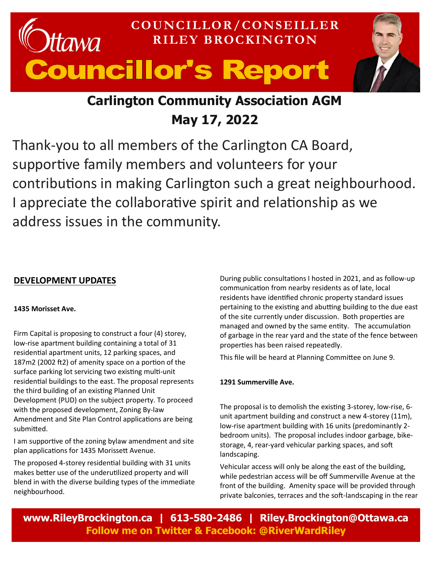# **COUNCILLOR/CONSEILLER**  awa **RILEY BROCKINGTON** Councillor's Report

# **Carlington Community Association AGM May 17, 2022**

Thank-you to all members of the Carlington CA Board, supportive family members and volunteers for your contributions in making Carlington such a great neighbourhood. I appreciate the collaborative spirit and relationship as we address issues in the community.

## **DEVELOPMENT UPDATES**

### **1435 Morisset Ave.**

Firm Capital is proposing to construct a four (4) storey, low-rise apartment building containing a total of 31 residential apartment units, 12 parking spaces, and 187m2 (2002 ft2) of amenity space on a portion of the surface parking lot servicing two existing multi-unit residential buildings to the east. The proposal represents the third building of an existing Planned Unit Development (PUD) on the subject property. To proceed with the proposed development, Zoning By-law Amendment and Site Plan Control applications are being submitted.

I am supportive of the zoning bylaw amendment and site plan applications for 1435 Morissett Avenue.

The proposed 4-storey residential building with 31 units makes better use of the underutilized property and will blend in with the diverse building types of the immediate neighbourhood.

During public consultations I hosted in 2021, and as follow-up communication from nearby residents as of late, local residents have identified chronic property standard issues pertaining to the existing and abutting building to the due east of the site currently under discussion. Both properties are managed and owned by the same entity. The accumulation of garbage in the rear yard and the state of the fence between properties has been raised repeatedly.

This file will be heard at Planning Committee on June 9.

### **1291 Summerville Ave.**

The proposal is to demolish the existing 3-storey, low-rise, 6 unit apartment building and construct a new 4-storey (11m), low-rise apartment building with 16 units (predominantly 2 bedroom units). The proposal includes indoor garbage, bikestorage, 4, rear-yard vehicular parking spaces, and soft landscaping.

Vehicular access will only be along the east of the building, while pedestrian access will be off Summerville Avenue at the front of the building. Amenity space will be provided through private balconies, terraces and the soft-landscaping in the rear

**www.RileyBrockington.ca | 613-580-2486 | Riley.Brockington@Ottawa.ca Follow me on Twitter & Facebook: @RiverWardRiley**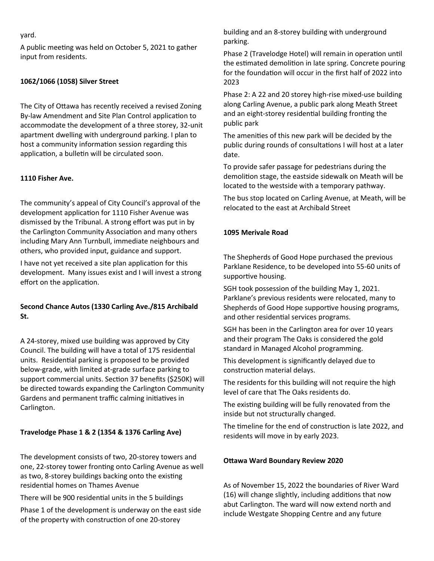#### yard.

A public meeting was held on October 5, 2021 to gather input from residents.

#### **1062/1066 (1058) Silver Street**

The City of Ottawa has recently received a revised Zoning By-law Amendment and Site Plan Control application to accommodate the development of a three storey, 32-unit apartment dwelling with underground parking. I plan to host a community information session regarding this application, a bulletin will be circulated soon.

#### **1110 Fisher Ave.**

The community's appeal of City Council's approval of the development application for 1110 Fisher Avenue was dismissed by the Tribunal. A strong effort was put in by the Carlington Community Association and many others including Mary Ann Turnbull, immediate neighbours and others, who provided input, guidance and support.

I have not yet received a site plan application for this development. Many issues exist and I will invest a strong effort on the application.

#### **Second Chance Autos (1330 Carling Ave./815 Archibald St.**

A 24-storey, mixed use building was approved by City Council. The building will have a total of 175 residential units. Residential parking is proposed to be provided below-grade, with limited at-grade surface parking to support commercial units. Section 37 benefits (\$250K) will be directed towards expanding the Carlington Community Gardens and permanent traffic calming initiatives in Carlington.

#### **Travelodge Phase 1 & 2 (1354 & 1376 Carling Ave)**

The development consists of two, 20-storey towers and one, 22-storey tower fronting onto Carling Avenue as well as two, 8-storey buildings backing onto the existing residential homes on Thames Avenue

There will be 900 residential units in the 5 buildings

Phase 1 of the development is underway on the east side of the property with construction of one 20-storey

building and an 8-storey building with underground parking.

Phase 2 (Travelodge Hotel) will remain in operation until the estimated demolition in late spring. Concrete pouring for the foundation will occur in the first half of 2022 into 2023

Phase 2: A 22 and 20 storey high-rise mixed-use building along Carling Avenue, a public park along Meath Street and an eight-storey residential building fronting the public park

The amenities of this new park will be decided by the public during rounds of consultations I will host at a later date.

To provide safer passage for pedestrians during the demolition stage, the eastside sidewalk on Meath will be located to the westside with a temporary pathway.

The bus stop located on Carling Avenue, at Meath, will be relocated to the east at Archibald Street

#### **1095 Merivale Road**

The Shepherds of Good Hope purchased the previous Parklane Residence, to be developed into 55-60 units of supportive housing.

SGH took possession of the building May 1, 2021. Parklane's previous residents were relocated, many to Shepherds of Good Hope supportive housing programs, and other residential services programs.

SGH has been in the Carlington area for over 10 years and their program The Oaks is considered the gold standard in Managed Alcohol programming.

This development is significantly delayed due to construction material delays.

The residents for this building will not require the high level of care that The Oaks residents do.

The existing building will be fully renovated from the inside but not structurally changed.

The timeline for the end of construction is late 2022, and residents will move in by early 2023.

#### **Ottawa Ward Boundary Review 2020**

As of November 15, 2022 the boundaries of River Ward (16) will change slightly, including additions that now abut Carlington. The ward will now extend north and include Westgate Shopping Centre and any future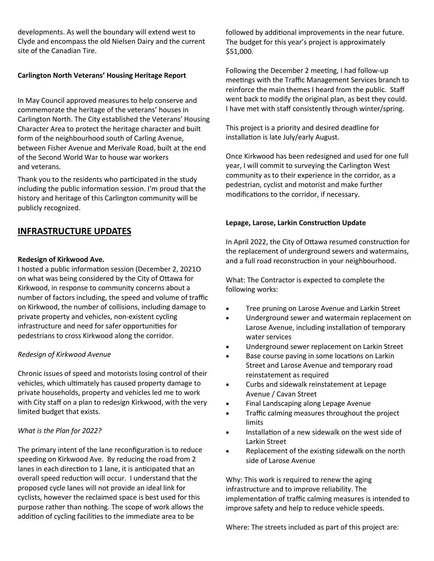developments. As well the boundary will extend west to Clyde and encompass the old Nielsen Dairy and the current site of the Canadian Tire.

#### **Carlington North Veterans' Housing Heritage Report**

In May Council approved measures to help conserve and commemorate the heritage of the veterans' houses in Carlington North. The City established the Veterans' Housing Character Area to protect the heritage character and built form of the neighbourhood south of Carling Avenue, between Fisher Avenue and Merivale Road, built at the end of the Second World War to house war workers and veterans.

Thank you to the residents who participated in the study including the public information session. I'm proud that the history and heritage of this Carlington community will be publicly recognized.

## **INFRASTRUCTURE UPDATES**

#### **Redesign of Kirkwood Ave.**

I hosted a public information session (December 2, 2021O on what was being considered by the City of Ottawa for Kirkwood, in response to community concerns about a number of factors including, the speed and volume of traffic on Kirkwood, the number of collisions, including damage to private property and vehicles, non-existent cycling infrastructure and need for safer opportunities for pedestrians to cross Kirkwood along the corridor.

#### *Redesign of Kirkwood Avenue*

Chronic issues of speed and motorists losing control of their vehicles, which ultimately has caused property damage to private households, property and vehicles led me to work with City staff on a plan to redesign Kirkwood, with the very limited budget that exists.

#### *What is the Plan for 2022?*

The primary intent of the lane reconfiguration is to reduce speeding on Kirkwood Ave. By reducing the road from 2 lanes in each direction to 1 lane, it is anticipated that an overall speed reduction will occur. I understand that the proposed cycle lanes will not provide an ideal link for cyclists, however the reclaimed space is best used for this purpose rather than nothing. The scope of work allows the addition of cycling facilities to the immediate area to be

followed by additional improvements in the near future. The budget for this year's project is approximately \$51,000.

Following the December 2 meeting, I had follow-up meetings with the Traffic Management Services branch to reinforce the main themes I heard from the public. Staff went back to modify the original plan, as best they could. I have met with staff consistently through winter/spring.

This project is a priority and desired deadline for installation is late July/early August.

Once Kirkwood has been redesigned and used for one full year, I will commit to surveying the Carlington West community as to their experience in the corridor, as a pedestrian, cyclist and motorist and make further modifications to the corridor, if necessary.

#### **Lepage, Larose, Larkin Construction Update**

In April 2022, the City of Ottawa resumed construction for the replacement of underground sewers and watermains, and a full road reconstruction in your neighbourhood.

What: The Contractor is expected to complete the following works:

- Tree pruning on Larose Avenue and Larkin Street
- Underground sewer and watermain replacement on Larose Avenue, including installation of temporary water services
- Underground sewer replacement on Larkin Street
- Base course paving in some locations on Larkin Street and Larose Avenue and temporary road reinstatement as required
- Curbs and sidewalk reinstatement at Lepage Avenue / Cavan Street
- Final Landscaping along Lepage Avenue
- Traffic calming measures throughout the project limits
- Installation of a new sidewalk on the west side of Larkin Street
- Replacement of the existing sidewalk on the north side of Larose Avenue

Why: This work is required to renew the aging infrastructure and to improve reliability. The implementation of traffic calming measures is intended to improve safety and help to reduce vehicle speeds.

Where: The streets included as part of this project are: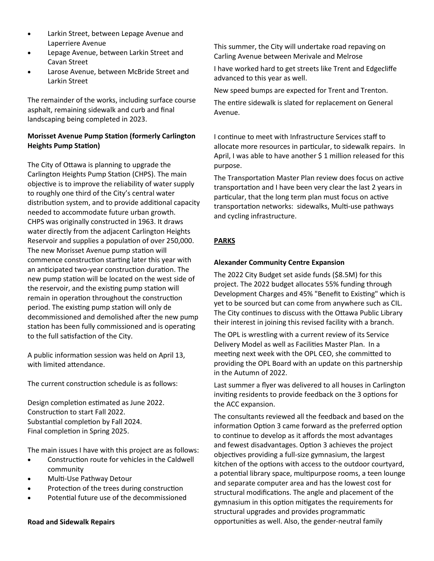- Larkin Street, between Lepage Avenue and Laperriere Avenue
- Lepage Avenue, between Larkin Street and Cavan Street
- Larose Avenue, between McBride Street and Larkin Street

The remainder of the works, including surface course asphalt, remaining sidewalk and curb and final landscaping being completed in 2023.

#### **Morisset Avenue Pump Station (formerly Carlington Heights Pump Station)**

The City of Ottawa is planning to upgrade the Carlington Heights Pump Station (CHPS). The main objective is to improve the reliability of water supply to roughly one third of the City's central water distribution system, and to provide additional capacity needed to accommodate future urban growth. CHPS was originally constructed in 1963. It draws water directly from the adjacent Carlington Heights Reservoir and supplies a population of over 250,000. The new Morisset Avenue pump station will commence construction starting later this year with an anticipated two-year construction duration. The new pump station will be located on the west side of the reservoir, and the existing pump station will remain in operation throughout the construction period. The existing pump station will only de decommissioned and demolished after the new pump station has been fully commissioned and is operating to the full satisfaction of the City.

A public information session was held on April 13, with limited attendance.

The current construction schedule is as follows:

Design completion estimated as June 2022. Construction to start Fall 2022. Substantial completion by Fall 2024. Final completion in Spring 2025.

The main issues I have with this project are as follows:

- Construction route for vehicles in the Caldwell community
- Multi-Use Pathway Detour
- Protection of the trees during construction
- Potential future use of the decommissioned

#### **Road and Sidewalk Repairs**

This summer, the City will undertake road repaving on Carling Avenue between Merivale and Melrose

I have worked hard to get streets like Trent and Edgecliffe advanced to this year as well.

New speed bumps are expected for Trent and Trenton.

The entire sidewalk is slated for replacement on General Avenue.

I continue to meet with Infrastructure Services staff to allocate more resources in particular, to sidewalk repairs. In April, I was able to have another \$ 1 million released for this purpose.

The Transportation Master Plan review does focus on active transportation and I have been very clear the last 2 years in particular, that the long term plan must focus on active transportation networks: sidewalks, Multi-use pathways and cycling infrastructure.

#### **PARKS**

#### **Alexander Community Centre Expansion**

The 2022 City Budget set aside funds (\$8.5M) for this project. The 2022 budget allocates 55% funding through Development Charges and 45% "Benefit to Existing" which is yet to be sourced but can come from anywhere such as CIL. The City continues to discuss with the Ottawa Public Library their interest in joining this revised facility with a branch.

The OPL is wrestling with a current review of its Service Delivery Model as well as Facilities Master Plan. In a meeting next week with the OPL CEO, she committed to providing the OPL Board with an update on this partnership in the Autumn of 2022.

Last summer a flyer was delivered to all houses in Carlington inviting residents to provide feedback on the 3 options for the ACC expansion.

The consultants reviewed all the feedback and based on the information Option 3 came forward as the preferred option to continue to develop as it affords the most advantages and fewest disadvantages. Option 3 achieves the project objectives providing a full-size gymnasium, the largest kitchen of the options with access to the outdoor courtyard, a potential library space, multipurpose rooms, a teen lounge and separate computer area and has the lowest cost for structural modifications. The angle and placement of the gymnasium in this option mitigates the requirements for structural upgrades and provides programmatic opportunities as well. Also, the gender-neutral family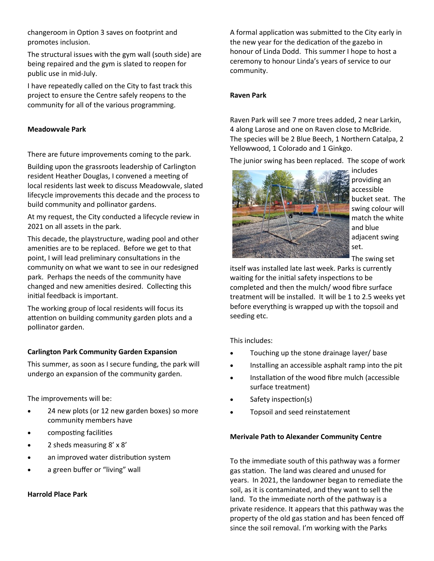changeroom in Option 3 saves on footprint and promotes inclusion.

The structural issues with the gym wall (south side) are being repaired and the gym is slated to reopen for public use in mid-July.

I have repeatedly called on the City to fast track this project to ensure the Centre safely reopens to the community for all of the various programming.

#### **Meadowvale Park**

There are future improvements coming to the park.

Building upon the grassroots leadership of Carlington resident Heather Douglas, I convened a meeting of local residents last week to discuss Meadowvale, slated lifecycle improvements this decade and the process to build community and pollinator gardens.

At my request, the City conducted a lifecycle review in 2021 on all assets in the park.

This decade, the playstructure, wading pool and other amenities are to be replaced. Before we get to that point, I will lead preliminary consultations in the community on what we want to see in our redesigned park. Perhaps the needs of the community have changed and new amenities desired. Collecting this initial feedback is important.

The working group of local residents will focus its attention on building community garden plots and a pollinator garden.

#### **Carlington Park Community Garden Expansion**

This summer, as soon as I secure funding, the park will undergo an expansion of the community garden.

The improvements will be:

- 24 new plots (or 12 new garden boxes) so more community members have
- composting facilities
- 2 sheds measuring 8' x 8'
- an improved water distribution system
- a green buffer or "living" wall

#### **Harrold Place Park**

A formal application was submitted to the City early in the new year for the dedication of the gazebo in honour of Linda Dodd. This summer I hope to host a ceremony to honour Linda's years of service to our community.

#### **Raven Park**

Raven Park will see 7 more trees added, 2 near Larkin, 4 along Larose and one on Raven close to McBride. The species will be 2 Blue Beech, 1 Northern Catalpa, 2 Yellowwood, 1 Colorado and 1 Ginkgo.

The junior swing has been replaced. The scope of work



includes providing an accessible bucket seat. The swing colour will match the white and blue adjacent swing set.

The swing set

itself was installed late last week. Parks is currently waiting for the initial safety inspections to be completed and then the mulch/ wood fibre surface treatment will be installed. It will be 1 to 2.5 weeks yet before everything is wrapped up with the topsoil and seeding etc.

This includes:

- Touching up the stone drainage layer/ base
- Installing an accessible asphalt ramp into the pit
- Installation of the wood fibre mulch (accessible surface treatment)
- Safety inspection(s)
- Topsoil and seed reinstatement

#### **Merivale Path to Alexander Community Centre**

To the immediate south of this pathway was a former gas station. The land was cleared and unused for years. In 2021, the landowner began to remediate the soil, as it is contaminated, and they want to sell the land. To the immediate north of the pathway is a private residence. It appears that this pathway was the property of the old gas station and has been fenced off since the soil removal. I'm working with the Parks